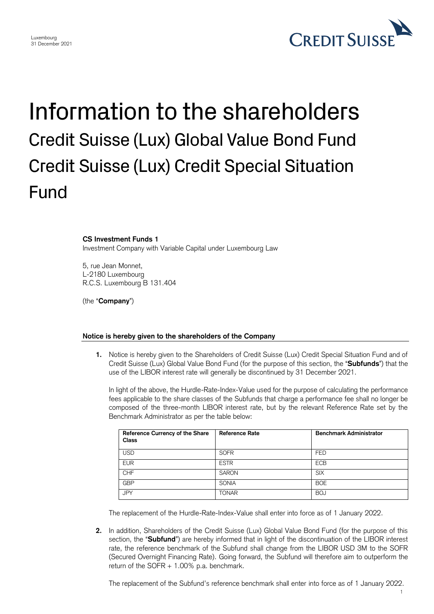

## Information to the shareholders Credit Suisse (Lux) Global Value Bond Fund Credit Suisse (Lux) Credit Special Situation Fund

## **CS Investment Funds 1**

Investment Company with Variable Capital under Luxembourg Law

5, rue Jean Monnet, L-2180 Luxembourg R.C.S. Luxembourg B 131.404

(the "**Company**")

## **Notice is hereby given to the shareholders of the Company**

**1.** Notice is hereby given to the Shareholders of Credit Suisse (Lux) Credit Special Situation Fund and of Credit Suisse (Lux) Global Value Bond Fund (for the purpose of this section, the "**Subfunds**") that the use of the LIBOR interest rate will generally be discontinued by 31 December 2021.

In light of the above, the Hurdle-Rate-Index-Value used for the purpose of calculating the performance fees applicable to the share classes of the Subfunds that charge a performance fee shall no longer be composed of the three-month LIBOR interest rate, but by the relevant Reference Rate set by the Benchmark Administrator as per the table below:

| Reference Currency of the Share<br>Class | <b>Reference Rate</b> | <b>Benchmark Administrator</b> |
|------------------------------------------|-----------------------|--------------------------------|
| <b>USD</b>                               | <b>SOFR</b>           | <b>FED</b>                     |
| <b>EUR</b>                               | <b>ESTR</b>           | <b>ECB</b>                     |
| <b>CHF</b>                               | <b>SARON</b>          | <b>SIX</b>                     |
| <b>GBP</b>                               | <b>SONIA</b>          | <b>BOE</b>                     |
| <b>JPY</b>                               | <b>TONAR</b>          | <b>BOJ</b>                     |

The replacement of the Hurdle-Rate-Index-Value shall enter into force as of 1 January 2022.

**2.** In addition, Shareholders of the Credit Suisse (Lux) Global Value Bond Fund (for the purpose of this section, the "**Subfund**") are hereby informed that in light of the discontinuation of the LIBOR interest rate, the reference benchmark of the Subfund shall change from the LIBOR USD 3M to the SOFR (Secured Overnight Financing Rate). Going forward, the Subfund will therefore aim to outperform the return of the SOFR + 1.00% p.a. benchmark.

The replacement of the Subfund's reference benchmark shall enter into force as of 1 January 2022.